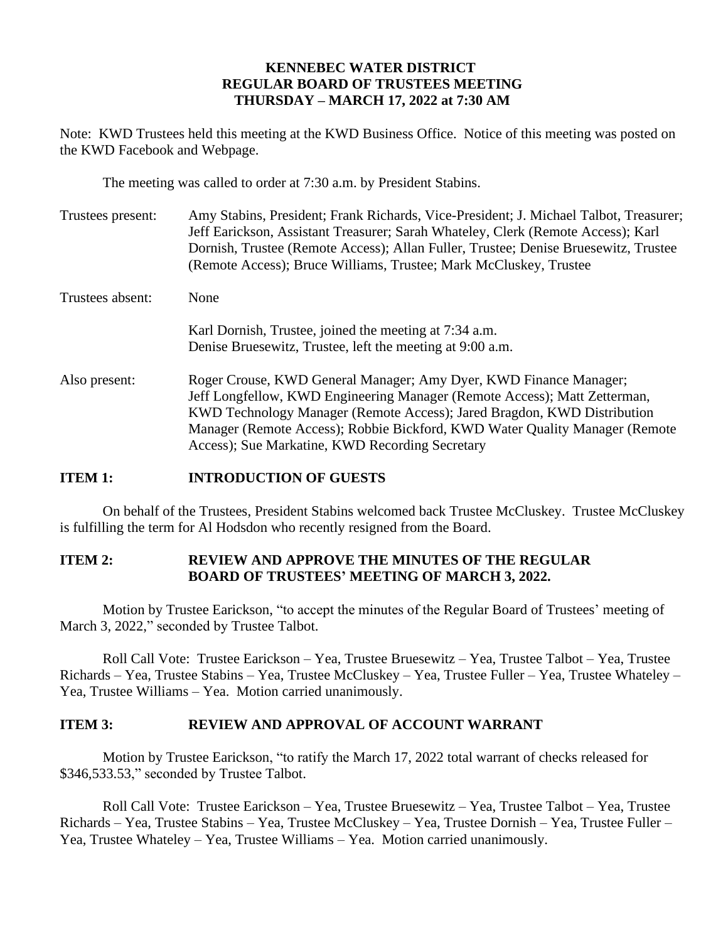# **KENNEBEC WATER DISTRICT REGULAR BOARD OF TRUSTEES MEETING THURSDAY – MARCH 17, 2022 at 7:30 AM**

Note: KWD Trustees held this meeting at the KWD Business Office. Notice of this meeting was posted on the KWD Facebook and Webpage.

The meeting was called to order at 7:30 a.m. by President Stabins.

| Trustees present: | Amy Stabins, President; Frank Richards, Vice-President; J. Michael Talbot, Treasurer;<br>Jeff Earickson, Assistant Treasurer; Sarah Whateley, Clerk (Remote Access); Karl<br>Dornish, Trustee (Remote Access); Allan Fuller, Trustee; Denise Bruesewitz, Trustee<br>(Remote Access); Bruce Williams, Trustee; Mark McCluskey, Trustee                       |
|-------------------|-------------------------------------------------------------------------------------------------------------------------------------------------------------------------------------------------------------------------------------------------------------------------------------------------------------------------------------------------------------|
| Trustees absent:  | None                                                                                                                                                                                                                                                                                                                                                        |
|                   | Karl Dornish, Trustee, joined the meeting at 7:34 a.m.<br>Denise Bruesewitz, Trustee, left the meeting at 9:00 a.m.                                                                                                                                                                                                                                         |
| Also present:     | Roger Crouse, KWD General Manager; Amy Dyer, KWD Finance Manager;<br>Jeff Longfellow, KWD Engineering Manager (Remote Access); Matt Zetterman,<br>KWD Technology Manager (Remote Access); Jared Bragdon, KWD Distribution<br>Manager (Remote Access); Robbie Bickford, KWD Water Quality Manager (Remote<br>Access); Sue Markatine, KWD Recording Secretary |

### **ITEM 1: INTRODUCTION OF GUESTS**

On behalf of the Trustees, President Stabins welcomed back Trustee McCluskey. Trustee McCluskey is fulfilling the term for Al Hodsdon who recently resigned from the Board.

# **ITEM 2: REVIEW AND APPROVE THE MINUTES OF THE REGULAR BOARD OF TRUSTEES' MEETING OF MARCH 3, 2022.**

Motion by Trustee Earickson, "to accept the minutes of the Regular Board of Trustees' meeting of March 3, 2022," seconded by Trustee Talbot.

Roll Call Vote: Trustee Earickson – Yea, Trustee Bruesewitz – Yea, Trustee Talbot – Yea, Trustee Richards – Yea, Trustee Stabins – Yea, Trustee McCluskey – Yea, Trustee Fuller – Yea, Trustee Whateley – Yea, Trustee Williams – Yea. Motion carried unanimously.

# **ITEM 3: REVIEW AND APPROVAL OF ACCOUNT WARRANT**

Motion by Trustee Earickson, "to ratify the March 17, 2022 total warrant of checks released for \$346,533.53," seconded by Trustee Talbot.

Roll Call Vote: Trustee Earickson – Yea, Trustee Bruesewitz – Yea, Trustee Talbot – Yea, Trustee Richards – Yea, Trustee Stabins – Yea, Trustee McCluskey – Yea, Trustee Dornish – Yea, Trustee Fuller – Yea, Trustee Whateley – Yea, Trustee Williams – Yea. Motion carried unanimously.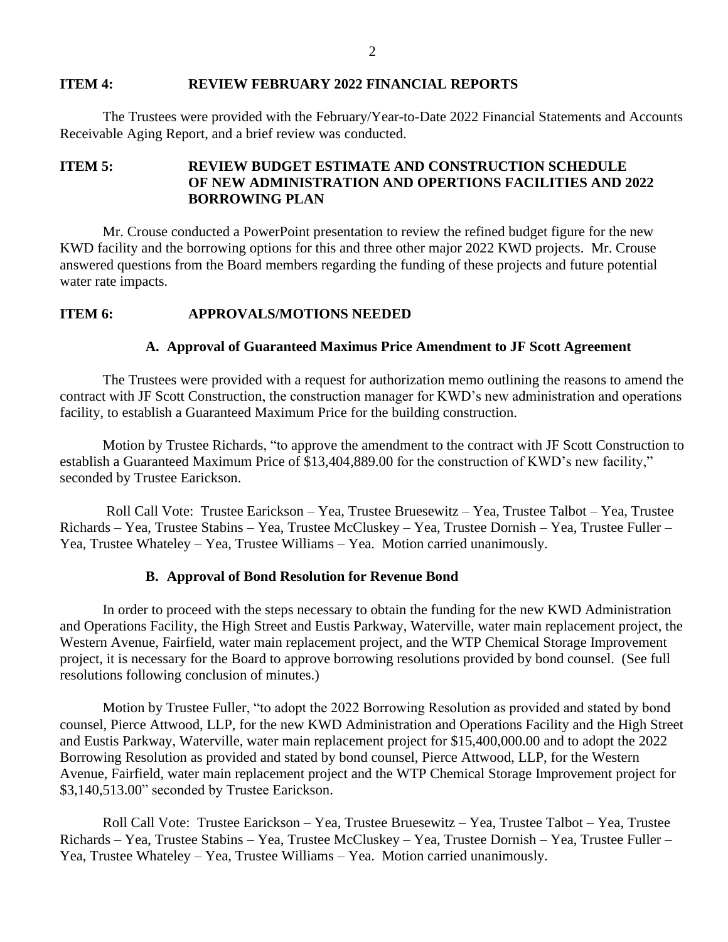#### **ITEM 4: REVIEW FEBRUARY 2022 FINANCIAL REPORTS**

The Trustees were provided with the February/Year-to-Date 2022 Financial Statements and Accounts Receivable Aging Report, and a brief review was conducted.

# **ITEM 5: REVIEW BUDGET ESTIMATE AND CONSTRUCTION SCHEDULE OF NEW ADMINISTRATION AND OPERTIONS FACILITIES AND 2022 BORROWING PLAN**

Mr. Crouse conducted a PowerPoint presentation to review the refined budget figure for the new KWD facility and the borrowing options for this and three other major 2022 KWD projects. Mr. Crouse answered questions from the Board members regarding the funding of these projects and future potential water rate impacts.

### **ITEM 6: APPROVALS/MOTIONS NEEDED**

### **A. Approval of Guaranteed Maximus Price Amendment to JF Scott Agreement**

The Trustees were provided with a request for authorization memo outlining the reasons to amend the contract with JF Scott Construction, the construction manager for KWD's new administration and operations facility, to establish a Guaranteed Maximum Price for the building construction.

Motion by Trustee Richards, "to approve the amendment to the contract with JF Scott Construction to establish a Guaranteed Maximum Price of \$13,404,889.00 for the construction of KWD's new facility," seconded by Trustee Earickson.

Roll Call Vote: Trustee Earickson – Yea, Trustee Bruesewitz – Yea, Trustee Talbot – Yea, Trustee Richards – Yea, Trustee Stabins – Yea, Trustee McCluskey – Yea, Trustee Dornish – Yea, Trustee Fuller – Yea, Trustee Whateley – Yea, Trustee Williams – Yea. Motion carried unanimously.

### **B. Approval of Bond Resolution for Revenue Bond**

In order to proceed with the steps necessary to obtain the funding for the new KWD Administration and Operations Facility, the High Street and Eustis Parkway, Waterville, water main replacement project, the Western Avenue, Fairfield, water main replacement project, and the WTP Chemical Storage Improvement project, it is necessary for the Board to approve borrowing resolutions provided by bond counsel. (See full resolutions following conclusion of minutes.)

Motion by Trustee Fuller, "to adopt the 2022 Borrowing Resolution as provided and stated by bond counsel, Pierce Attwood, LLP, for the new KWD Administration and Operations Facility and the High Street and Eustis Parkway, Waterville, water main replacement project for \$15,400,000.00 and to adopt the 2022 Borrowing Resolution as provided and stated by bond counsel, Pierce Attwood, LLP, for the Western Avenue, Fairfield, water main replacement project and the WTP Chemical Storage Improvement project for \$3,140,513.00" seconded by Trustee Earickson.

Roll Call Vote: Trustee Earickson – Yea, Trustee Bruesewitz – Yea, Trustee Talbot – Yea, Trustee Richards – Yea, Trustee Stabins – Yea, Trustee McCluskey – Yea, Trustee Dornish – Yea, Trustee Fuller – Yea, Trustee Whateley – Yea, Trustee Williams – Yea. Motion carried unanimously.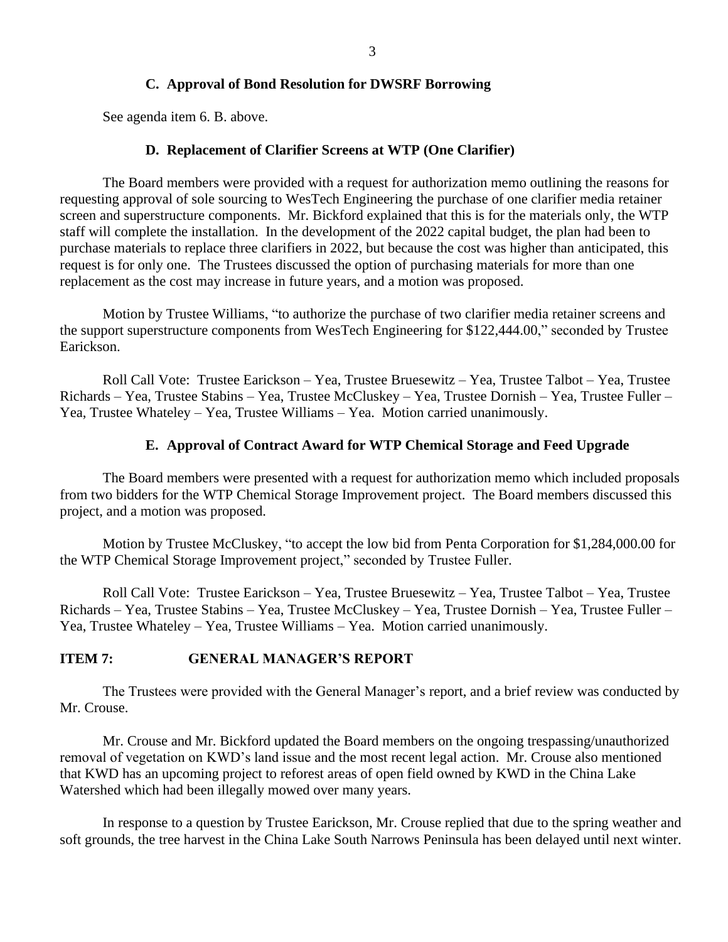### **C. Approval of Bond Resolution for DWSRF Borrowing**

See agenda item 6. B. above.

#### **D. Replacement of Clarifier Screens at WTP (One Clarifier)**

The Board members were provided with a request for authorization memo outlining the reasons for requesting approval of sole sourcing to WesTech Engineering the purchase of one clarifier media retainer screen and superstructure components. Mr. Bickford explained that this is for the materials only, the WTP staff will complete the installation. In the development of the 2022 capital budget, the plan had been to purchase materials to replace three clarifiers in 2022, but because the cost was higher than anticipated, this request is for only one. The Trustees discussed the option of purchasing materials for more than one replacement as the cost may increase in future years, and a motion was proposed.

Motion by Trustee Williams, "to authorize the purchase of two clarifier media retainer screens and the support superstructure components from WesTech Engineering for \$122,444.00," seconded by Trustee Earickson.

Roll Call Vote: Trustee Earickson – Yea, Trustee Bruesewitz – Yea, Trustee Talbot – Yea, Trustee Richards – Yea, Trustee Stabins – Yea, Trustee McCluskey – Yea, Trustee Dornish – Yea, Trustee Fuller – Yea, Trustee Whateley – Yea, Trustee Williams – Yea. Motion carried unanimously.

#### **E. Approval of Contract Award for WTP Chemical Storage and Feed Upgrade**

The Board members were presented with a request for authorization memo which included proposals from two bidders for the WTP Chemical Storage Improvement project. The Board members discussed this project, and a motion was proposed.

Motion by Trustee McCluskey, "to accept the low bid from Penta Corporation for \$1,284,000.00 for the WTP Chemical Storage Improvement project," seconded by Trustee Fuller.

Roll Call Vote: Trustee Earickson – Yea, Trustee Bruesewitz – Yea, Trustee Talbot – Yea, Trustee Richards – Yea, Trustee Stabins – Yea, Trustee McCluskey – Yea, Trustee Dornish – Yea, Trustee Fuller – Yea, Trustee Whateley – Yea, Trustee Williams – Yea. Motion carried unanimously.

### **ITEM 7: GENERAL MANAGER'S REPORT**

The Trustees were provided with the General Manager's report, and a brief review was conducted by Mr. Crouse.

Mr. Crouse and Mr. Bickford updated the Board members on the ongoing trespassing/unauthorized removal of vegetation on KWD's land issue and the most recent legal action. Mr. Crouse also mentioned that KWD has an upcoming project to reforest areas of open field owned by KWD in the China Lake Watershed which had been illegally mowed over many years.

In response to a question by Trustee Earickson, Mr. Crouse replied that due to the spring weather and soft grounds, the tree harvest in the China Lake South Narrows Peninsula has been delayed until next winter.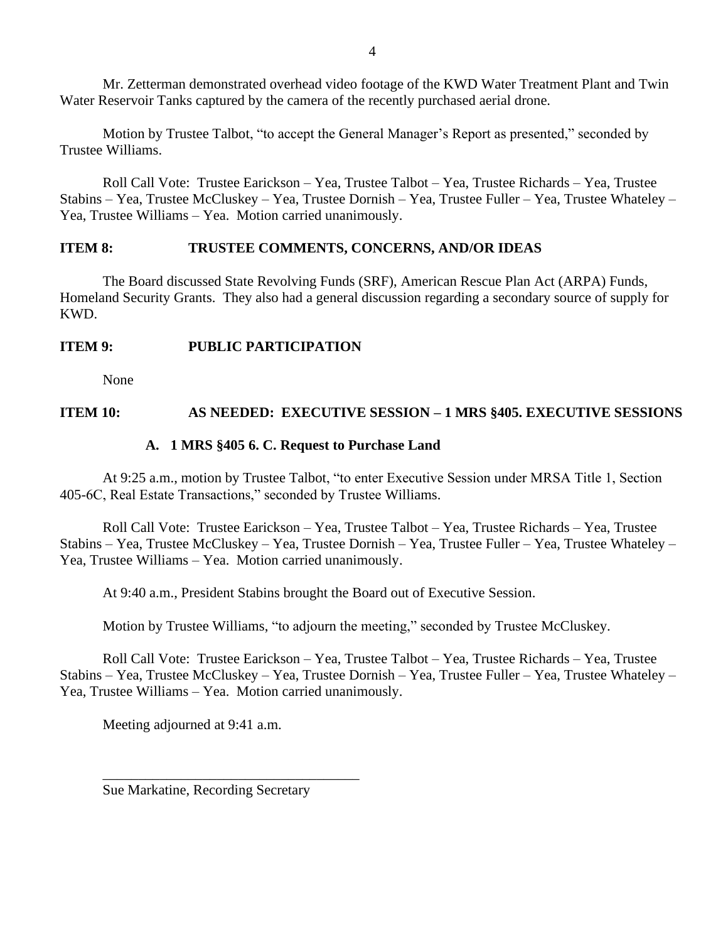Mr. Zetterman demonstrated overhead video footage of the KWD Water Treatment Plant and Twin Water Reservoir Tanks captured by the camera of the recently purchased aerial drone.

Motion by Trustee Talbot, "to accept the General Manager's Report as presented," seconded by Trustee Williams.

Roll Call Vote: Trustee Earickson – Yea, Trustee Talbot – Yea, Trustee Richards – Yea, Trustee Stabins – Yea, Trustee McCluskey – Yea, Trustee Dornish – Yea, Trustee Fuller – Yea, Trustee Whateley – Yea, Trustee Williams – Yea. Motion carried unanimously.

### **ITEM 8: TRUSTEE COMMENTS, CONCERNS, AND/OR IDEAS**

The Board discussed State Revolving Funds (SRF), American Rescue Plan Act (ARPA) Funds, Homeland Security Grants. They also had a general discussion regarding a secondary source of supply for KWD.

# **ITEM 9: PUBLIC PARTICIPATION**

None

# **ITEM 10: AS NEEDED: EXECUTIVE SESSION – 1 MRS §405. EXECUTIVE SESSIONS**

### **A. 1 MRS §405 6. C. Request to Purchase Land**

At 9:25 a.m., motion by Trustee Talbot, "to enter Executive Session under MRSA Title 1, Section 405-6C, Real Estate Transactions," seconded by Trustee Williams.

Roll Call Vote: Trustee Earickson – Yea, Trustee Talbot – Yea, Trustee Richards – Yea, Trustee Stabins – Yea, Trustee McCluskey – Yea, Trustee Dornish – Yea, Trustee Fuller – Yea, Trustee Whateley – Yea, Trustee Williams – Yea. Motion carried unanimously.

At 9:40 a.m., President Stabins brought the Board out of Executive Session.

Motion by Trustee Williams, "to adjourn the meeting," seconded by Trustee McCluskey.

Roll Call Vote: Trustee Earickson – Yea, Trustee Talbot – Yea, Trustee Richards – Yea, Trustee Stabins – Yea, Trustee McCluskey – Yea, Trustee Dornish – Yea, Trustee Fuller – Yea, Trustee Whateley – Yea, Trustee Williams – Yea. Motion carried unanimously.

Meeting adjourned at 9:41 a.m.

Sue Markatine, Recording Secretary

\_\_\_\_\_\_\_\_\_\_\_\_\_\_\_\_\_\_\_\_\_\_\_\_\_\_\_\_\_\_\_\_\_\_\_\_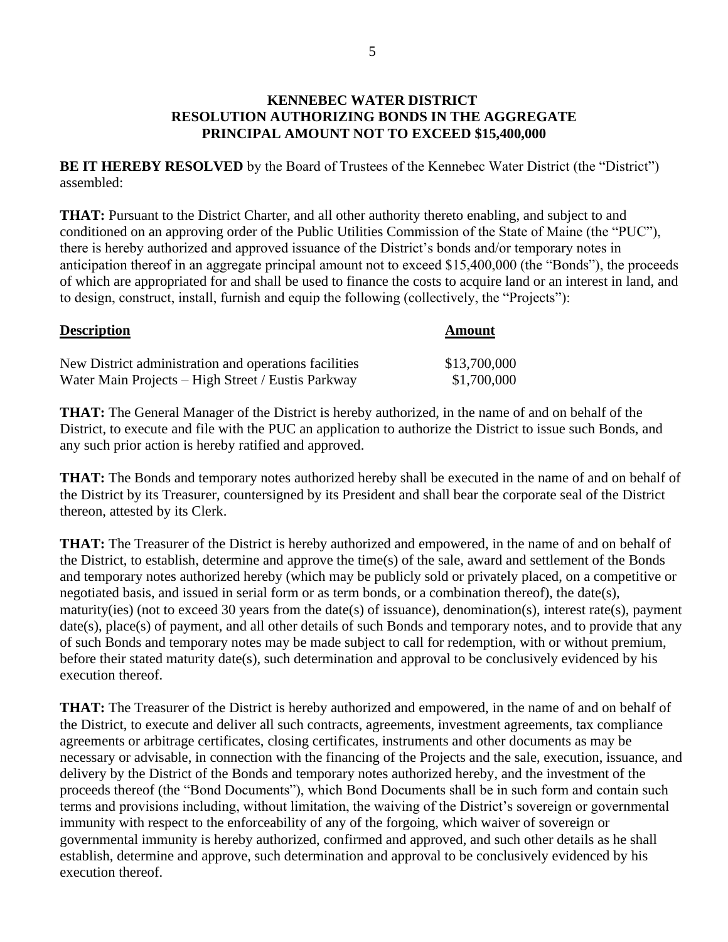# **KENNEBEC WATER DISTRICT RESOLUTION AUTHORIZING BONDS IN THE AGGREGATE PRINCIPAL AMOUNT NOT TO EXCEED \$15,400,000**

**BE IT HEREBY RESOLVED** by the Board of Trustees of the Kennebec Water District (the "District") assembled:

**THAT:** Pursuant to the District Charter, and all other authority thereto enabling, and subject to and conditioned on an approving order of the Public Utilities Commission of the State of Maine (the "PUC"), there is hereby authorized and approved issuance of the District's bonds and/or temporary notes in anticipation thereof in an aggregate principal amount not to exceed \$15,400,000 (the "Bonds"), the proceeds of which are appropriated for and shall be used to finance the costs to acquire land or an interest in land, and to design, construct, install, furnish and equip the following (collectively, the "Projects"):

| <b>Description</b>                                    | Amount       |  |
|-------------------------------------------------------|--------------|--|
| New District administration and operations facilities | \$13,700,000 |  |
| Water Main Projects – High Street / Eustis Parkway    | \$1,700,000  |  |

**THAT:** The General Manager of the District is hereby authorized, in the name of and on behalf of the District, to execute and file with the PUC an application to authorize the District to issue such Bonds, and any such prior action is hereby ratified and approved.

**THAT:** The Bonds and temporary notes authorized hereby shall be executed in the name of and on behalf of the District by its Treasurer, countersigned by its President and shall bear the corporate seal of the District thereon, attested by its Clerk.

**THAT:** The Treasurer of the District is hereby authorized and empowered, in the name of and on behalf of the District, to establish, determine and approve the time(s) of the sale, award and settlement of the Bonds and temporary notes authorized hereby (which may be publicly sold or privately placed, on a competitive or negotiated basis, and issued in serial form or as term bonds, or a combination thereof), the date(s), maturity(ies) (not to exceed 30 years from the date(s) of issuance), denomination(s), interest rate(s), payment date(s), place(s) of payment, and all other details of such Bonds and temporary notes, and to provide that any of such Bonds and temporary notes may be made subject to call for redemption, with or without premium, before their stated maturity date(s), such determination and approval to be conclusively evidenced by his execution thereof.

**THAT:** The Treasurer of the District is hereby authorized and empowered, in the name of and on behalf of the District, to execute and deliver all such contracts, agreements, investment agreements, tax compliance agreements or arbitrage certificates, closing certificates, instruments and other documents as may be necessary or advisable, in connection with the financing of the Projects and the sale, execution, issuance, and delivery by the District of the Bonds and temporary notes authorized hereby, and the investment of the proceeds thereof (the "Bond Documents"), which Bond Documents shall be in such form and contain such terms and provisions including, without limitation, the waiving of the District's sovereign or governmental immunity with respect to the enforceability of any of the forgoing, which waiver of sovereign or governmental immunity is hereby authorized, confirmed and approved, and such other details as he shall establish, determine and approve, such determination and approval to be conclusively evidenced by his execution thereof.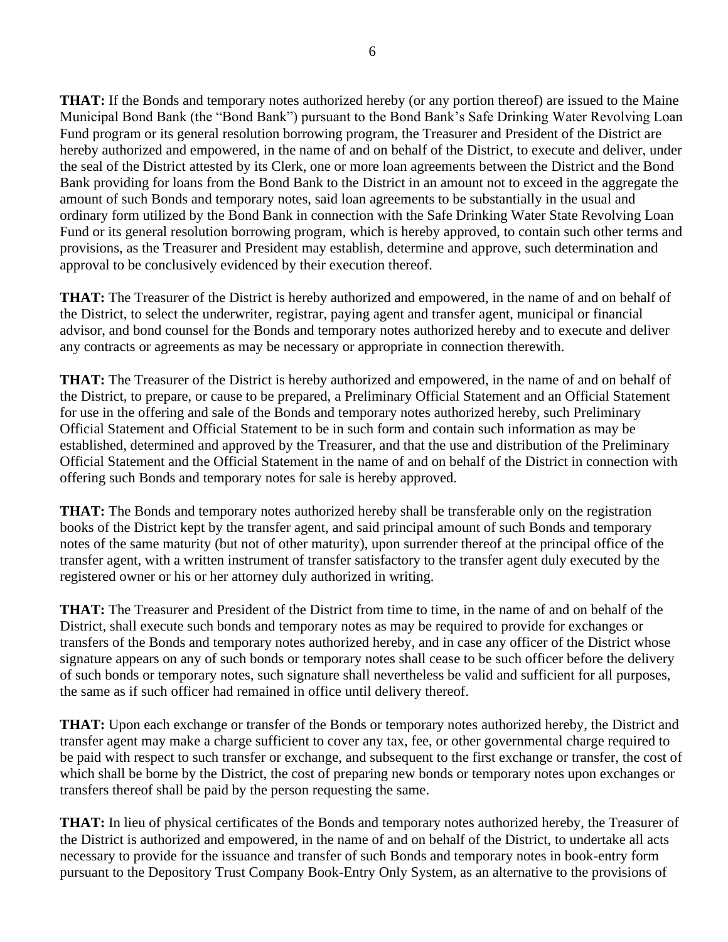**THAT:** If the Bonds and temporary notes authorized hereby (or any portion thereof) are issued to the Maine Municipal Bond Bank (the "Bond Bank") pursuant to the Bond Bank's Safe Drinking Water Revolving Loan Fund program or its general resolution borrowing program, the Treasurer and President of the District are hereby authorized and empowered, in the name of and on behalf of the District, to execute and deliver, under the seal of the District attested by its Clerk, one or more loan agreements between the District and the Bond Bank providing for loans from the Bond Bank to the District in an amount not to exceed in the aggregate the amount of such Bonds and temporary notes, said loan agreements to be substantially in the usual and ordinary form utilized by the Bond Bank in connection with the Safe Drinking Water State Revolving Loan Fund or its general resolution borrowing program, which is hereby approved, to contain such other terms and provisions, as the Treasurer and President may establish, determine and approve, such determination and approval to be conclusively evidenced by their execution thereof.

**THAT:** The Treasurer of the District is hereby authorized and empowered, in the name of and on behalf of the District, to select the underwriter, registrar, paying agent and transfer agent, municipal or financial advisor, and bond counsel for the Bonds and temporary notes authorized hereby and to execute and deliver any contracts or agreements as may be necessary or appropriate in connection therewith.

**THAT:** The Treasurer of the District is hereby authorized and empowered, in the name of and on behalf of the District, to prepare, or cause to be prepared, a Preliminary Official Statement and an Official Statement for use in the offering and sale of the Bonds and temporary notes authorized hereby, such Preliminary Official Statement and Official Statement to be in such form and contain such information as may be established, determined and approved by the Treasurer, and that the use and distribution of the Preliminary Official Statement and the Official Statement in the name of and on behalf of the District in connection with offering such Bonds and temporary notes for sale is hereby approved.

**THAT:** The Bonds and temporary notes authorized hereby shall be transferable only on the registration books of the District kept by the transfer agent, and said principal amount of such Bonds and temporary notes of the same maturity (but not of other maturity), upon surrender thereof at the principal office of the transfer agent, with a written instrument of transfer satisfactory to the transfer agent duly executed by the registered owner or his or her attorney duly authorized in writing.

**THAT:** The Treasurer and President of the District from time to time, in the name of and on behalf of the District, shall execute such bonds and temporary notes as may be required to provide for exchanges or transfers of the Bonds and temporary notes authorized hereby, and in case any officer of the District whose signature appears on any of such bonds or temporary notes shall cease to be such officer before the delivery of such bonds or temporary notes, such signature shall nevertheless be valid and sufficient for all purposes, the same as if such officer had remained in office until delivery thereof.

**THAT:** Upon each exchange or transfer of the Bonds or temporary notes authorized hereby, the District and transfer agent may make a charge sufficient to cover any tax, fee, or other governmental charge required to be paid with respect to such transfer or exchange, and subsequent to the first exchange or transfer, the cost of which shall be borne by the District, the cost of preparing new bonds or temporary notes upon exchanges or transfers thereof shall be paid by the person requesting the same.

**THAT:** In lieu of physical certificates of the Bonds and temporary notes authorized hereby, the Treasurer of the District is authorized and empowered, in the name of and on behalf of the District, to undertake all acts necessary to provide for the issuance and transfer of such Bonds and temporary notes in book-entry form pursuant to the Depository Trust Company Book-Entry Only System, as an alternative to the provisions of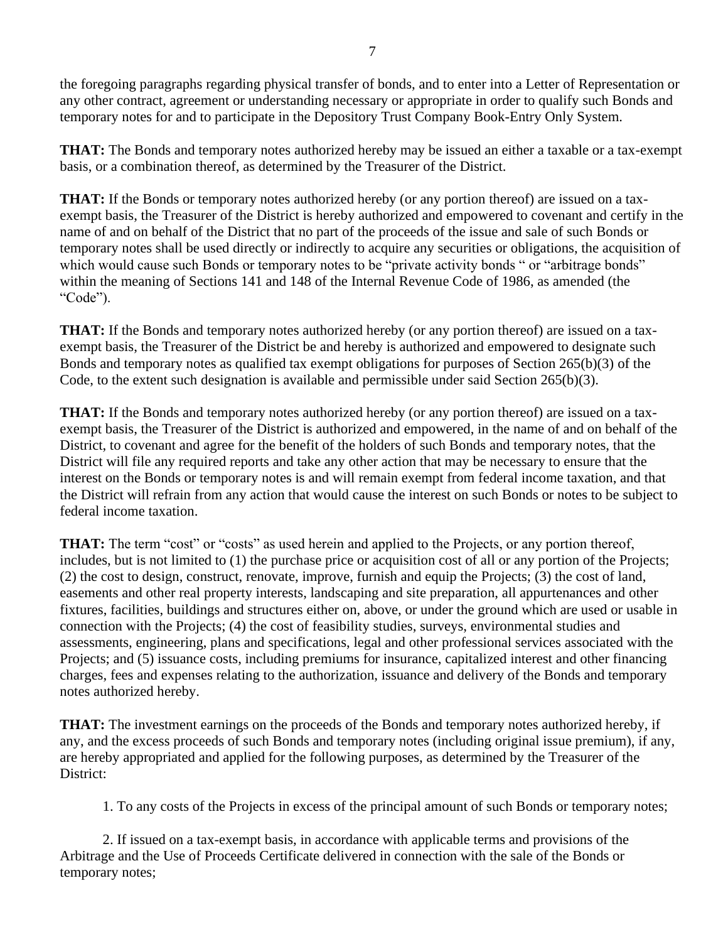**THAT:** The Bonds and temporary notes authorized hereby may be issued an either a taxable or a tax-exempt basis, or a combination thereof, as determined by the Treasurer of the District.

**THAT:** If the Bonds or temporary notes authorized hereby (or any portion thereof) are issued on a taxexempt basis, the Treasurer of the District is hereby authorized and empowered to covenant and certify in the name of and on behalf of the District that no part of the proceeds of the issue and sale of such Bonds or temporary notes shall be used directly or indirectly to acquire any securities or obligations, the acquisition of which would cause such Bonds or temporary notes to be "private activity bonds " or "arbitrage bonds" within the meaning of Sections 141 and 148 of the Internal Revenue Code of 1986, as amended (the "Code").

**THAT:** If the Bonds and temporary notes authorized hereby (or any portion thereof) are issued on a taxexempt basis, the Treasurer of the District be and hereby is authorized and empowered to designate such Bonds and temporary notes as qualified tax exempt obligations for purposes of Section 265(b)(3) of the Code, to the extent such designation is available and permissible under said Section 265(b)(3).

**THAT:** If the Bonds and temporary notes authorized hereby (or any portion thereof) are issued on a taxexempt basis, the Treasurer of the District is authorized and empowered, in the name of and on behalf of the District, to covenant and agree for the benefit of the holders of such Bonds and temporary notes, that the District will file any required reports and take any other action that may be necessary to ensure that the interest on the Bonds or temporary notes is and will remain exempt from federal income taxation, and that the District will refrain from any action that would cause the interest on such Bonds or notes to be subject to federal income taxation.

**THAT:** The term "cost" or "costs" as used herein and applied to the Projects, or any portion thereof, includes, but is not limited to (1) the purchase price or acquisition cost of all or any portion of the Projects; (2) the cost to design, construct, renovate, improve, furnish and equip the Projects; (3) the cost of land, easements and other real property interests, landscaping and site preparation, all appurtenances and other fixtures, facilities, buildings and structures either on, above, or under the ground which are used or usable in connection with the Projects; (4) the cost of feasibility studies, surveys, environmental studies and assessments, engineering, plans and specifications, legal and other professional services associated with the Projects; and (5) issuance costs, including premiums for insurance, capitalized interest and other financing charges, fees and expenses relating to the authorization, issuance and delivery of the Bonds and temporary notes authorized hereby.

**THAT:** The investment earnings on the proceeds of the Bonds and temporary notes authorized hereby, if any, and the excess proceeds of such Bonds and temporary notes (including original issue premium), if any, are hereby appropriated and applied for the following purposes, as determined by the Treasurer of the District:

1. To any costs of the Projects in excess of the principal amount of such Bonds or temporary notes;

2. If issued on a tax-exempt basis, in accordance with applicable terms and provisions of the Arbitrage and the Use of Proceeds Certificate delivered in connection with the sale of the Bonds or temporary notes;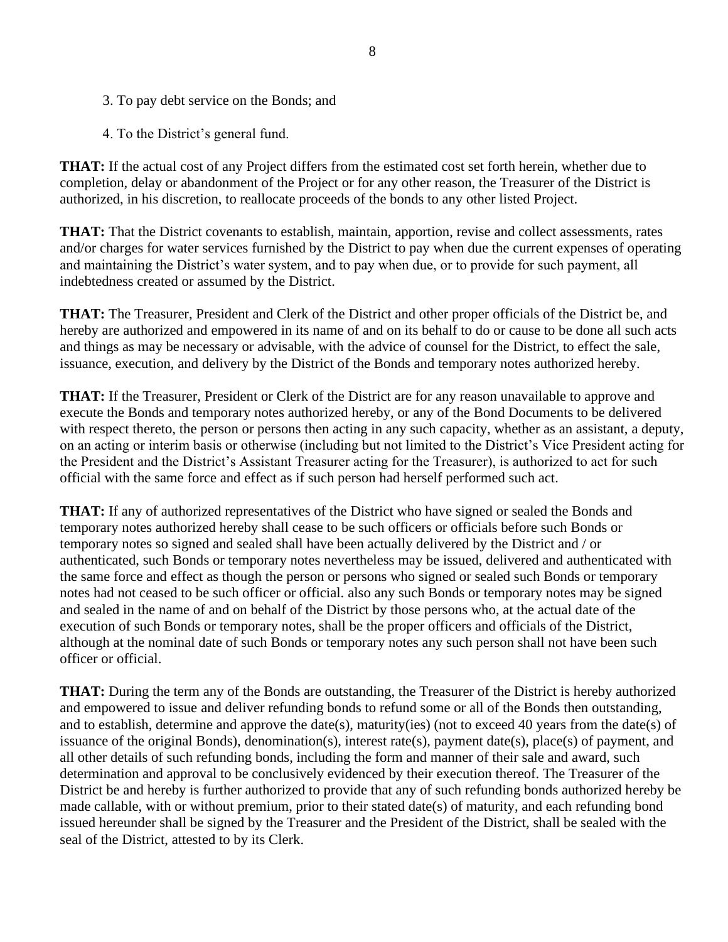- 3. To pay debt service on the Bonds; and
- 4. To the District's general fund.

**THAT:** If the actual cost of any Project differs from the estimated cost set forth herein, whether due to completion, delay or abandonment of the Project or for any other reason, the Treasurer of the District is authorized, in his discretion, to reallocate proceeds of the bonds to any other listed Project.

**THAT:** That the District covenants to establish, maintain, apportion, revise and collect assessments, rates and/or charges for water services furnished by the District to pay when due the current expenses of operating and maintaining the District's water system, and to pay when due, or to provide for such payment, all indebtedness created or assumed by the District.

**THAT:** The Treasurer, President and Clerk of the District and other proper officials of the District be, and hereby are authorized and empowered in its name of and on its behalf to do or cause to be done all such acts and things as may be necessary or advisable, with the advice of counsel for the District, to effect the sale, issuance, execution, and delivery by the District of the Bonds and temporary notes authorized hereby.

**THAT:** If the Treasurer, President or Clerk of the District are for any reason unavailable to approve and execute the Bonds and temporary notes authorized hereby, or any of the Bond Documents to be delivered with respect thereto, the person or persons then acting in any such capacity, whether as an assistant, a deputy, on an acting or interim basis or otherwise (including but not limited to the District's Vice President acting for the President and the District's Assistant Treasurer acting for the Treasurer), is authorized to act for such official with the same force and effect as if such person had herself performed such act.

**THAT:** If any of authorized representatives of the District who have signed or sealed the Bonds and temporary notes authorized hereby shall cease to be such officers or officials before such Bonds or temporary notes so signed and sealed shall have been actually delivered by the District and / or authenticated, such Bonds or temporary notes nevertheless may be issued, delivered and authenticated with the same force and effect as though the person or persons who signed or sealed such Bonds or temporary notes had not ceased to be such officer or official. also any such Bonds or temporary notes may be signed and sealed in the name of and on behalf of the District by those persons who, at the actual date of the execution of such Bonds or temporary notes, shall be the proper officers and officials of the District, although at the nominal date of such Bonds or temporary notes any such person shall not have been such officer or official.

**THAT:** During the term any of the Bonds are outstanding, the Treasurer of the District is hereby authorized and empowered to issue and deliver refunding bonds to refund some or all of the Bonds then outstanding, and to establish, determine and approve the date(s), maturity(ies) (not to exceed 40 years from the date(s) of issuance of the original Bonds), denomination(s), interest rate(s), payment date(s), place(s) of payment, and all other details of such refunding bonds, including the form and manner of their sale and award, such determination and approval to be conclusively evidenced by their execution thereof. The Treasurer of the District be and hereby is further authorized to provide that any of such refunding bonds authorized hereby be made callable, with or without premium, prior to their stated date(s) of maturity, and each refunding bond issued hereunder shall be signed by the Treasurer and the President of the District, shall be sealed with the seal of the District, attested to by its Clerk.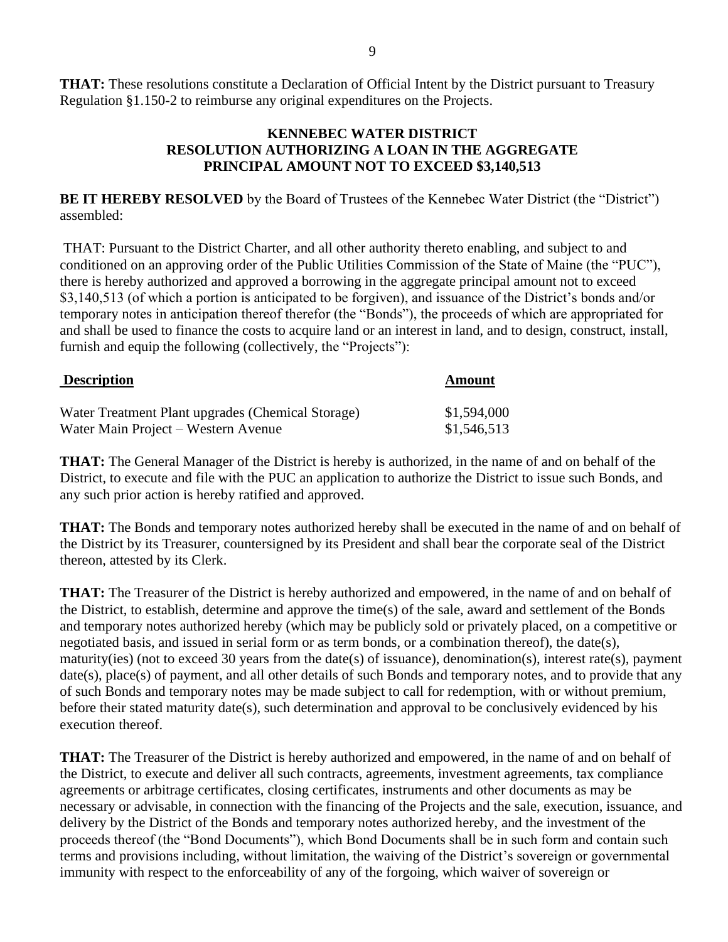**THAT:** These resolutions constitute a Declaration of Official Intent by the District pursuant to Treasury Regulation §1.150-2 to reimburse any original expenditures on the Projects.

# **KENNEBEC WATER DISTRICT RESOLUTION AUTHORIZING A LOAN IN THE AGGREGATE PRINCIPAL AMOUNT NOT TO EXCEED \$3,140,513**

**BE IT HEREBY RESOLVED** by the Board of Trustees of the Kennebec Water District (the "District") assembled:

THAT: Pursuant to the District Charter, and all other authority thereto enabling, and subject to and conditioned on an approving order of the Public Utilities Commission of the State of Maine (the "PUC"), there is hereby authorized and approved a borrowing in the aggregate principal amount not to exceed \$3,140,513 (of which a portion is anticipated to be forgiven), and issuance of the District's bonds and/or temporary notes in anticipation thereof therefor (the "Bonds"), the proceeds of which are appropriated for and shall be used to finance the costs to acquire land or an interest in land, and to design, construct, install, furnish and equip the following (collectively, the "Projects"):

| <b>Description</b>                                | <b>Amount</b> |  |
|---------------------------------------------------|---------------|--|
| Water Treatment Plant upgrades (Chemical Storage) | \$1,594,000   |  |
| Water Main Project – Western Avenue               | \$1,546,513   |  |

**THAT:** The General Manager of the District is hereby is authorized, in the name of and on behalf of the District, to execute and file with the PUC an application to authorize the District to issue such Bonds, and any such prior action is hereby ratified and approved.

**THAT:** The Bonds and temporary notes authorized hereby shall be executed in the name of and on behalf of the District by its Treasurer, countersigned by its President and shall bear the corporate seal of the District thereon, attested by its Clerk.

**THAT:** The Treasurer of the District is hereby authorized and empowered, in the name of and on behalf of the District, to establish, determine and approve the time(s) of the sale, award and settlement of the Bonds and temporary notes authorized hereby (which may be publicly sold or privately placed, on a competitive or negotiated basis, and issued in serial form or as term bonds, or a combination thereof), the date(s), maturity(ies) (not to exceed 30 years from the date(s) of issuance), denomination(s), interest rate(s), payment date(s), place(s) of payment, and all other details of such Bonds and temporary notes, and to provide that any of such Bonds and temporary notes may be made subject to call for redemption, with or without premium, before their stated maturity date(s), such determination and approval to be conclusively evidenced by his execution thereof.

**THAT:** The Treasurer of the District is hereby authorized and empowered, in the name of and on behalf of the District, to execute and deliver all such contracts, agreements, investment agreements, tax compliance agreements or arbitrage certificates, closing certificates, instruments and other documents as may be necessary or advisable, in connection with the financing of the Projects and the sale, execution, issuance, and delivery by the District of the Bonds and temporary notes authorized hereby, and the investment of the proceeds thereof (the "Bond Documents"), which Bond Documents shall be in such form and contain such terms and provisions including, without limitation, the waiving of the District's sovereign or governmental immunity with respect to the enforceability of any of the forgoing, which waiver of sovereign or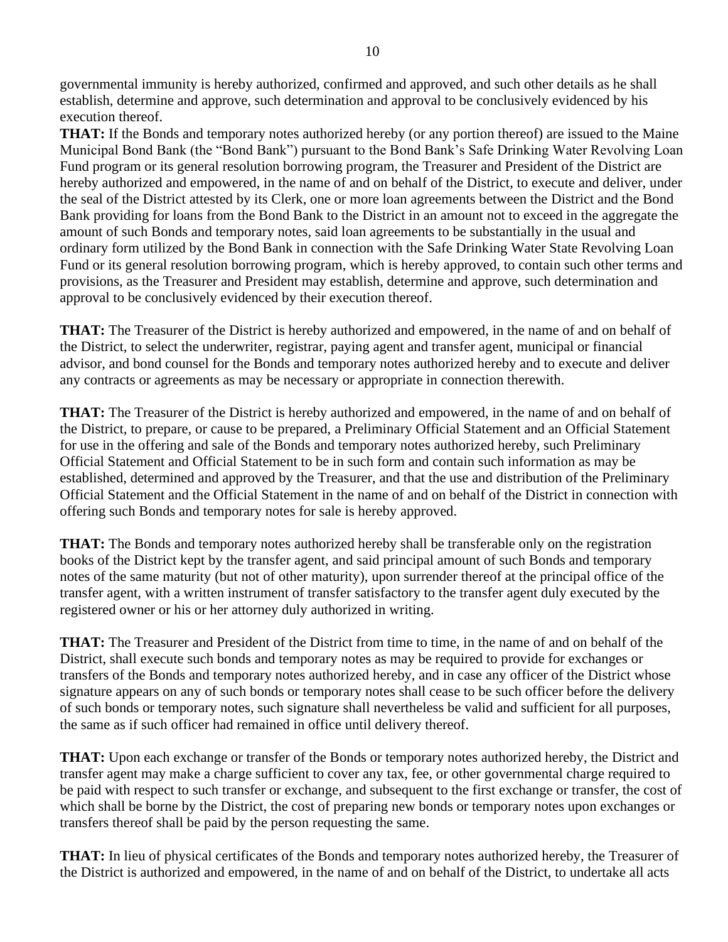governmental immunity is hereby authorized, confirmed and approved, and such other details as he shall establish, determine and approve, such determination and approval to be conclusively evidenced by his execution thereof.

**THAT:** If the Bonds and temporary notes authorized hereby (or any portion thereof) are issued to the Maine Municipal Bond Bank (the "Bond Bank") pursuant to the Bond Bank's Safe Drinking Water Revolving Loan Fund program or its general resolution borrowing program, the Treasurer and President of the District are hereby authorized and empowered, in the name of and on behalf of the District, to execute and deliver, under the seal of the District attested by its Clerk, one or more loan agreements between the District and the Bond Bank providing for loans from the Bond Bank to the District in an amount not to exceed in the aggregate the amount of such Bonds and temporary notes, said loan agreements to be substantially in the usual and ordinary form utilized by the Bond Bank in connection with the Safe Drinking Water State Revolving Loan Fund or its general resolution borrowing program, which is hereby approved, to contain such other terms and provisions, as the Treasurer and President may establish, determine and approve, such determination and approval to be conclusively evidenced by their execution thereof.

**THAT:** The Treasurer of the District is hereby authorized and empowered, in the name of and on behalf of the District, to select the underwriter, registrar, paying agent and transfer agent, municipal or financial advisor, and bond counsel for the Bonds and temporary notes authorized hereby and to execute and deliver any contracts or agreements as may be necessary or appropriate in connection therewith.

**THAT:** The Treasurer of the District is hereby authorized and empowered, in the name of and on behalf of the District, to prepare, or cause to be prepared, a Preliminary Official Statement and an Official Statement for use in the offering and sale of the Bonds and temporary notes authorized hereby, such Preliminary Official Statement and Official Statement to be in such form and contain such information as may be established, determined and approved by the Treasurer, and that the use and distribution of the Preliminary Official Statement and the Official Statement in the name of and on behalf of the District in connection with offering such Bonds and temporary notes for sale is hereby approved.

**THAT:** The Bonds and temporary notes authorized hereby shall be transferable only on the registration books of the District kept by the transfer agent, and said principal amount of such Bonds and temporary notes of the same maturity (but not of other maturity), upon surrender thereof at the principal office of the transfer agent, with a written instrument of transfer satisfactory to the transfer agent duly executed by the registered owner or his or her attorney duly authorized in writing.

**THAT:** The Treasurer and President of the District from time to time, in the name of and on behalf of the District, shall execute such bonds and temporary notes as may be required to provide for exchanges or transfers of the Bonds and temporary notes authorized hereby, and in case any officer of the District whose signature appears on any of such bonds or temporary notes shall cease to be such officer before the delivery of such bonds or temporary notes, such signature shall nevertheless be valid and sufficient for all purposes, the same as if such officer had remained in office until delivery thereof.

**THAT:** Upon each exchange or transfer of the Bonds or temporary notes authorized hereby, the District and transfer agent may make a charge sufficient to cover any tax, fee, or other governmental charge required to be paid with respect to such transfer or exchange, and subsequent to the first exchange or transfer, the cost of which shall be borne by the District, the cost of preparing new bonds or temporary notes upon exchanges or transfers thereof shall be paid by the person requesting the same.

**THAT:** In lieu of physical certificates of the Bonds and temporary notes authorized hereby, the Treasurer of the District is authorized and empowered, in the name of and on behalf of the District, to undertake all acts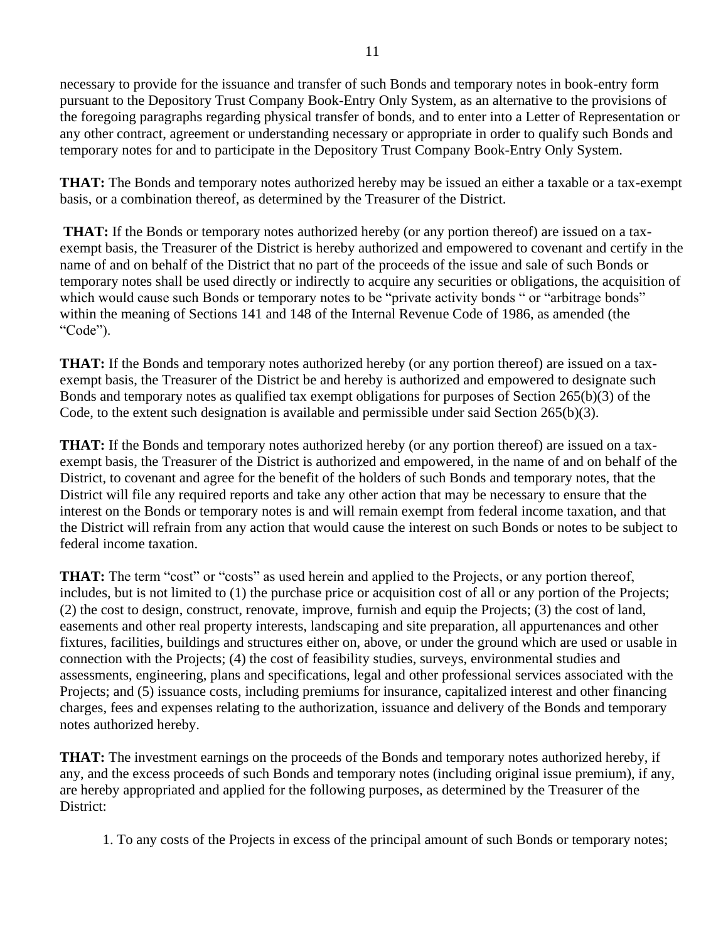necessary to provide for the issuance and transfer of such Bonds and temporary notes in book-entry form pursuant to the Depository Trust Company Book-Entry Only System, as an alternative to the provisions of the foregoing paragraphs regarding physical transfer of bonds, and to enter into a Letter of Representation or any other contract, agreement or understanding necessary or appropriate in order to qualify such Bonds and temporary notes for and to participate in the Depository Trust Company Book-Entry Only System.

**THAT:** The Bonds and temporary notes authorized hereby may be issued an either a taxable or a tax-exempt basis, or a combination thereof, as determined by the Treasurer of the District.

**THAT:** If the Bonds or temporary notes authorized hereby (or any portion thereof) are issued on a taxexempt basis, the Treasurer of the District is hereby authorized and empowered to covenant and certify in the name of and on behalf of the District that no part of the proceeds of the issue and sale of such Bonds or temporary notes shall be used directly or indirectly to acquire any securities or obligations, the acquisition of which would cause such Bonds or temporary notes to be "private activity bonds " or "arbitrage bonds" within the meaning of Sections 141 and 148 of the Internal Revenue Code of 1986, as amended (the "Code").

**THAT:** If the Bonds and temporary notes authorized hereby (or any portion thereof) are issued on a taxexempt basis, the Treasurer of the District be and hereby is authorized and empowered to designate such Bonds and temporary notes as qualified tax exempt obligations for purposes of Section 265(b)(3) of the Code, to the extent such designation is available and permissible under said Section 265(b)(3).

**THAT:** If the Bonds and temporary notes authorized hereby (or any portion thereof) are issued on a taxexempt basis, the Treasurer of the District is authorized and empowered, in the name of and on behalf of the District, to covenant and agree for the benefit of the holders of such Bonds and temporary notes, that the District will file any required reports and take any other action that may be necessary to ensure that the interest on the Bonds or temporary notes is and will remain exempt from federal income taxation, and that the District will refrain from any action that would cause the interest on such Bonds or notes to be subject to federal income taxation.

**THAT:** The term "cost" or "costs" as used herein and applied to the Projects, or any portion thereof, includes, but is not limited to (1) the purchase price or acquisition cost of all or any portion of the Projects; (2) the cost to design, construct, renovate, improve, furnish and equip the Projects; (3) the cost of land, easements and other real property interests, landscaping and site preparation, all appurtenances and other fixtures, facilities, buildings and structures either on, above, or under the ground which are used or usable in connection with the Projects; (4) the cost of feasibility studies, surveys, environmental studies and assessments, engineering, plans and specifications, legal and other professional services associated with the Projects; and (5) issuance costs, including premiums for insurance, capitalized interest and other financing charges, fees and expenses relating to the authorization, issuance and delivery of the Bonds and temporary notes authorized hereby.

**THAT:** The investment earnings on the proceeds of the Bonds and temporary notes authorized hereby, if any, and the excess proceeds of such Bonds and temporary notes (including original issue premium), if any, are hereby appropriated and applied for the following purposes, as determined by the Treasurer of the District:

1. To any costs of the Projects in excess of the principal amount of such Bonds or temporary notes;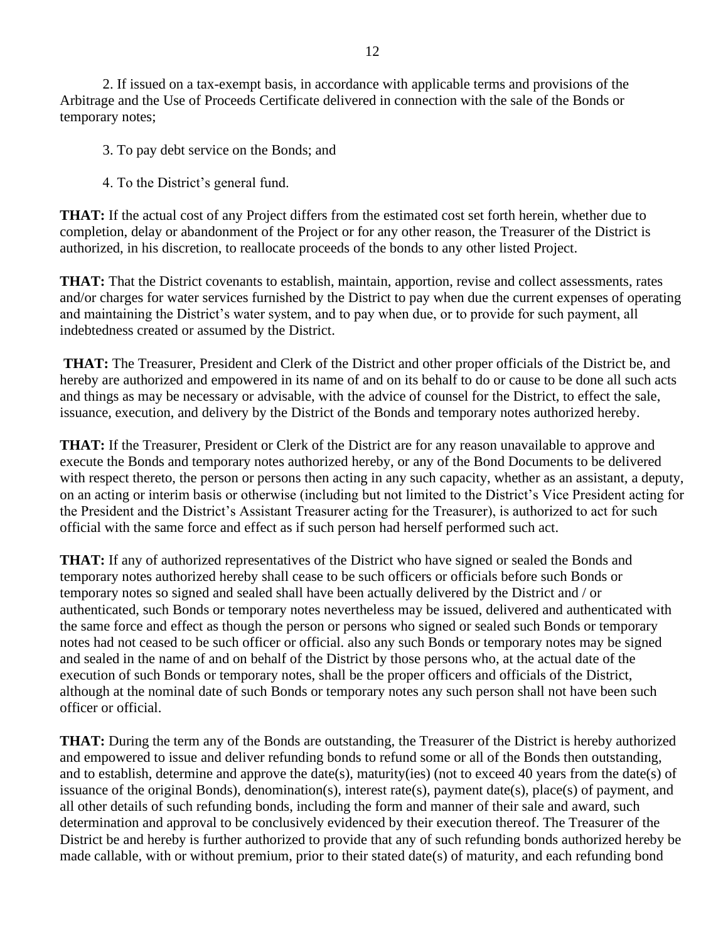2. If issued on a tax-exempt basis, in accordance with applicable terms and provisions of the Arbitrage and the Use of Proceeds Certificate delivered in connection with the sale of the Bonds or temporary notes;

- 3. To pay debt service on the Bonds; and
- 4. To the District's general fund.

**THAT:** If the actual cost of any Project differs from the estimated cost set forth herein, whether due to completion, delay or abandonment of the Project or for any other reason, the Treasurer of the District is authorized, in his discretion, to reallocate proceeds of the bonds to any other listed Project.

**THAT:** That the District covenants to establish, maintain, apportion, revise and collect assessments, rates and/or charges for water services furnished by the District to pay when due the current expenses of operating and maintaining the District's water system, and to pay when due, or to provide for such payment, all indebtedness created or assumed by the District.

**THAT:** The Treasurer, President and Clerk of the District and other proper officials of the District be, and hereby are authorized and empowered in its name of and on its behalf to do or cause to be done all such acts and things as may be necessary or advisable, with the advice of counsel for the District, to effect the sale, issuance, execution, and delivery by the District of the Bonds and temporary notes authorized hereby.

**THAT:** If the Treasurer, President or Clerk of the District are for any reason unavailable to approve and execute the Bonds and temporary notes authorized hereby, or any of the Bond Documents to be delivered with respect thereto, the person or persons then acting in any such capacity, whether as an assistant, a deputy, on an acting or interim basis or otherwise (including but not limited to the District's Vice President acting for the President and the District's Assistant Treasurer acting for the Treasurer), is authorized to act for such official with the same force and effect as if such person had herself performed such act.

**THAT:** If any of authorized representatives of the District who have signed or sealed the Bonds and temporary notes authorized hereby shall cease to be such officers or officials before such Bonds or temporary notes so signed and sealed shall have been actually delivered by the District and / or authenticated, such Bonds or temporary notes nevertheless may be issued, delivered and authenticated with the same force and effect as though the person or persons who signed or sealed such Bonds or temporary notes had not ceased to be such officer or official. also any such Bonds or temporary notes may be signed and sealed in the name of and on behalf of the District by those persons who, at the actual date of the execution of such Bonds or temporary notes, shall be the proper officers and officials of the District, although at the nominal date of such Bonds or temporary notes any such person shall not have been such officer or official.

**THAT:** During the term any of the Bonds are outstanding, the Treasurer of the District is hereby authorized and empowered to issue and deliver refunding bonds to refund some or all of the Bonds then outstanding, and to establish, determine and approve the date(s), maturity(ies) (not to exceed 40 years from the date(s) of issuance of the original Bonds), denomination(s), interest rate(s), payment date(s), place(s) of payment, and all other details of such refunding bonds, including the form and manner of their sale and award, such determination and approval to be conclusively evidenced by their execution thereof. The Treasurer of the District be and hereby is further authorized to provide that any of such refunding bonds authorized hereby be made callable, with or without premium, prior to their stated date(s) of maturity, and each refunding bond